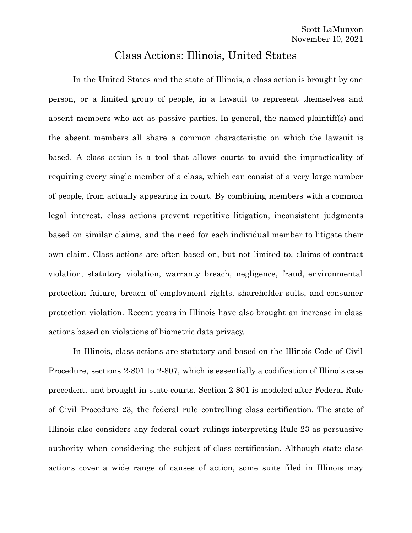## Class Actions: Illinois, United States

In the United States and the state of Illinois, a class action is brought by one person, or a limited group of people, in a lawsuit to represent themselves and absent members who act as passive parties. In general, the named plaintiff(s) and the absent members all share a common characteristic on which the lawsuit is based. A class action is a tool that allows courts to avoid the impracticality of requiring every single member of a class, which can consist of a very large number of people, from actually appearing in court. By combining members with a common legal interest, class actions prevent repetitive litigation, inconsistent judgments based on similar claims, and the need for each individual member to litigate their own claim. Class actions are often based on, but not limited to, claims of contract violation, statutory violation, warranty breach, negligence, fraud, environmental protection failure, breach of employment rights, shareholder suits, and consumer protection violation. Recent years in Illinois have also brought an increase in class actions based on violations of biometric data privacy.

In Illinois, class actions are statutory and based on the Illinois Code of Civil Procedure, sections 2-801 to 2-807, which is essentially a codification of Illinois case precedent, and brought in state courts. Section 2-801 is modeled after Federal Rule of Civil Procedure 23, the federal rule controlling class certification. The state of Illinois also considers any federal court rulings interpreting Rule 23 as persuasive authority when considering the subject of class certification. Although state class actions cover a wide range of causes of action, some suits filed in Illinois may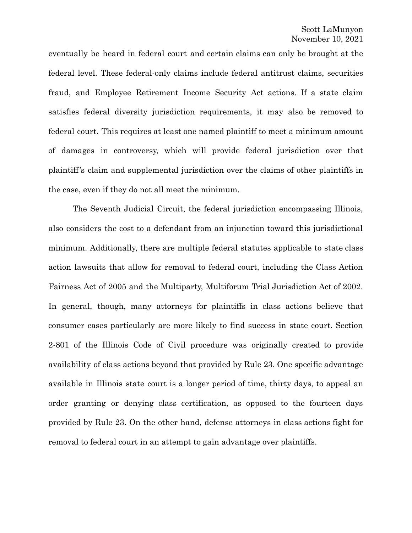eventually be heard in federal court and certain claims can only be brought at the federal level. These federal-only claims include federal antitrust claims, securities fraud, and Employee Retirement Income Security Act actions. If a state claim satisfies federal diversity jurisdiction requirements, it may also be removed to federal court. This requires at least one named plaintiff to meet a minimum amount of damages in controversy, which will provide federal jurisdiction over that plaintiff's claim and supplemental jurisdiction over the claims of other plaintiffs in the case, even if they do not all meet the minimum.

The Seventh Judicial Circuit, the federal jurisdiction encompassing Illinois, also considers the cost to a defendant from an injunction toward this jurisdictional minimum. Additionally, there are multiple federal statutes applicable to state class action lawsuits that allow for removal to federal court, including the Class Action Fairness Act of 2005 and the Multiparty, Multiforum Trial Jurisdiction Act of 2002. In general, though, many attorneys for plaintiffs in class actions believe that consumer cases particularly are more likely to find success in state court. Section 2-801 of the Illinois Code of Civil procedure was originally created to provide availability of class actions beyond that provided by Rule 23. One specific advantage available in Illinois state court is a longer period of time, thirty days, to appeal an order granting or denying class certification, as opposed to the fourteen days provided by Rule 23. On the other hand, defense attorneys in class actions fight for removal to federal court in an attempt to gain advantage over plaintiffs.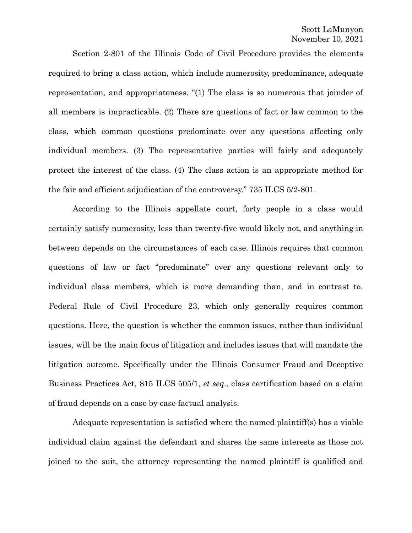Section 2-801 of the Illinois Code of Civil Procedure provides the elements required to bring a class action, which include numerosity, predominance, adequate representation, and appropriateness. "(1) The class is so numerous that joinder of all members is impracticable. (2) There are questions of fact or law common to the class, which common questions predominate over any questions affecting only individual members. (3) The representative parties will fairly and adequately protect the interest of the class. (4) The class action is an appropriate method for the fair and efficient adjudication of the controversy." 735 ILCS 5/2-801.

According to the Illinois appellate court, forty people in a class would certainly satisfy numerosity, less than twenty-five would likely not, and anything in between depends on the circumstances of each case. Illinois requires that common questions of law or fact "predominate" over any questions relevant only to individual class members, which is more demanding than, and in contrast to. Federal Rule of Civil Procedure 23, which only generally requires common questions. Here, the question is whether the common issues, rather than individual issues, will be the main focus of litigation and includes issues that will mandate the litigation outcome. Specifically under the Illinois Consumer Fraud and Deceptive Business Practices Act, 815 ILCS 505/1, *et seq*., class certification based on a claim of fraud depends on a case by case factual analysis.

Adequate representation is satisfied where the named plaintiff(s) has a viable individual claim against the defendant and shares the same interests as those not joined to the suit, the attorney representing the named plaintiff is qualified and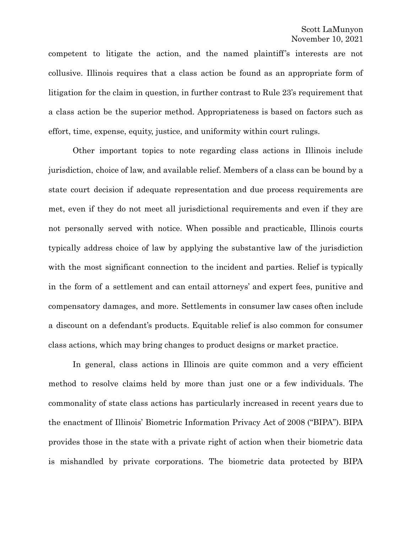competent to litigate the action, and the named plaintiff's interests are not collusive. Illinois requires that a class action be found as an appropriate form of litigation for the claim in question, in further contrast to Rule 23's requirement that a class action be the superior method. Appropriateness is based on factors such as effort, time, expense, equity, justice, and uniformity within court rulings.

Other important topics to note regarding class actions in Illinois include jurisdiction, choice of law, and available relief. Members of a class can be bound by a state court decision if adequate representation and due process requirements are met, even if they do not meet all jurisdictional requirements and even if they are not personally served with notice. When possible and practicable, Illinois courts typically address choice of law by applying the substantive law of the jurisdiction with the most significant connection to the incident and parties. Relief is typically in the form of a settlement and can entail attorneys' and expert fees, punitive and compensatory damages, and more. Settlements in consumer law cases often include a discount on a defendant's products. Equitable relief is also common for consumer class actions, which may bring changes to product designs or market practice.

In general, class actions in Illinois are quite common and a very efficient method to resolve claims held by more than just one or a few individuals. The commonality of state class actions has particularly increased in recent years due to the enactment of Illinois' Biometric Information Privacy Act of 2008 ("BIPA"). BIPA provides those in the state with a private right of action when their biometric data is mishandled by private corporations. The biometric data protected by BIPA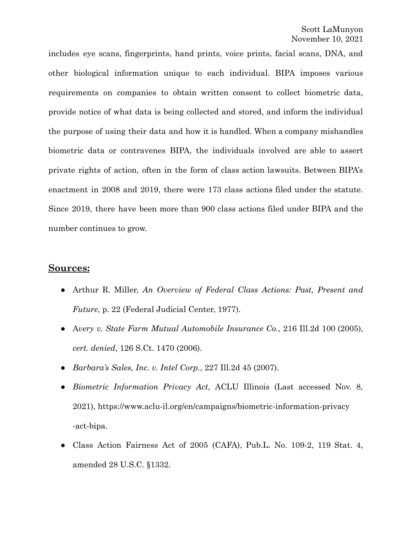includes eye scans, fingerprints, hand prints, voice prints, facial scans, DNA, and other biological information unique to each individual. BIPA imposes various requirements on companies to obtain written consent to collect biometric data, provide notice of what data is being collected and stored, and inform the individual the purpose of using their data and how it is handled. When a company mishandles biometric data or contravenes BIPA, the individuals involved are able to assert private rights of action, often in the form of class action lawsuits. Between BIPA's enactment in 2008 and 2019, there were 173 class actions filed under the statute. Since 2019, there have been more than 900 class actions filed under BIPA and the number continues to grow.

## **Sources:**

- Arthur R. Miller, *An Overview of Federal Class Actions: Past, Present and Future*, p. 22 (Federal Judicial Center, 1977).
- *●* A*very v. State Farm Mutual Automobile Insurance Co.*, 216 Ill.2d 100 (2005), *cert. denied*, 126 S.Ct. 1470 (2006).
- *Barbara's Sales, Inc. v. Intel Corp.*, 227 Ill.2d 45 (2007).
- *● Biometric Information Privacy Act*, ACLU Illinois (Last accessed Nov. 8, 2021), https://www.aclu-il.org/en/campaigns/biometric-information-privacy -act-bipa.
- Class Action Fairness Act of 2005 (CAFA), Pub.L. No. 109-2, 119 Stat. 4, amended 28 U.S.C. §1332.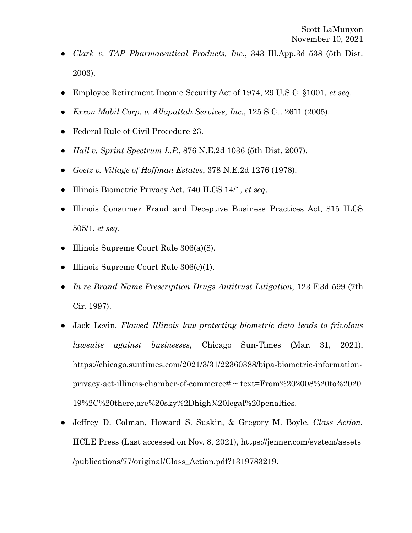- *Clark v. TAP Pharmaceutical Products, Inc.*, 343 Ill.App.3d 538 (5th Dist. 2003).
- Employee Retirement Income Security Act of 1974, 29 U.S.C. §1001, *et seq*.
- *Exxon Mobil Corp. v. Allapattah Services, Inc*., 125 S.Ct. 2611 (2005).
- Federal Rule of Civil Procedure 23.
- *Hall v. Sprint Spectrum L.P.*, 876 N.E.2d 1036 (5th Dist. 2007).
- *Goetz v. Village of Hoffman Estates*, 378 N.E.2d 1276 (1978).
- Illinois Biometric Privacy Act, 740 ILCS 14/1, *et seq*.
- Illinois Consumer Fraud and Deceptive Business Practices Act, 815 ILCS 505/1, *et seq*.
- Illinois Supreme Court Rule  $306(a)(8)$ .
- Illinois Supreme Court Rule  $306(c)(1)$ .
- *In re Brand Name Prescription Drugs Antitrust Litigation*, 123 F.3d 599 (7th Cir. 1997).
- Jack Levin, *Flawed Illinois law protecting biometric data leads to frivolous lawsuits against businesses*, Chicago Sun-Times (Mar. 31, 2021), https://chicago.suntimes.com/2021/3/31/22360388/bipa-biometric-informationprivacy-act-illinois-chamber-of-commerce#:~:text=From%202008%20to%2020 19%2C%20there,are%20sky%2Dhigh%20legal%20penalties.
- Jeffrey D. Colman, Howard S. Suskin, & Gregory M. Boyle, *Class Action*, IICLE Press (Last accessed on Nov. 8, 2021), https://jenner.com/system/assets /publications/77/original/Class\_Action.pdf?1319783219.